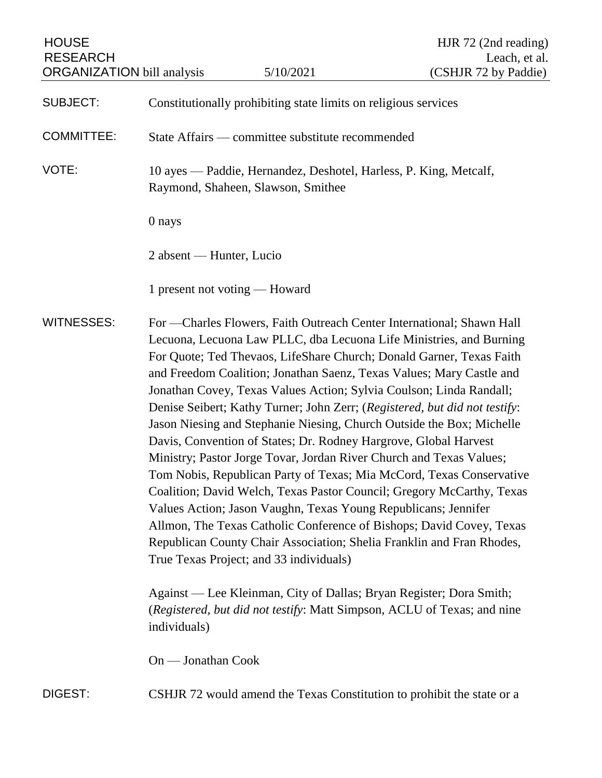| <b>HOUSE</b><br><b>RESEARCH</b>   |                                                                                                                                                                                                                                                                                                                                                                                                                                                                                                                                                                                                                                                                                                                                                                                                                                                                                                                                                                                                                                                                                       |                               | HJR 72 (2nd reading)<br>Leach, et al.                                  |
|-----------------------------------|---------------------------------------------------------------------------------------------------------------------------------------------------------------------------------------------------------------------------------------------------------------------------------------------------------------------------------------------------------------------------------------------------------------------------------------------------------------------------------------------------------------------------------------------------------------------------------------------------------------------------------------------------------------------------------------------------------------------------------------------------------------------------------------------------------------------------------------------------------------------------------------------------------------------------------------------------------------------------------------------------------------------------------------------------------------------------------------|-------------------------------|------------------------------------------------------------------------|
| <b>ORGANIZATION</b> bill analysis |                                                                                                                                                                                                                                                                                                                                                                                                                                                                                                                                                                                                                                                                                                                                                                                                                                                                                                                                                                                                                                                                                       | 5/10/2021                     | (CSHJR 72 by Paddie)                                                   |
| <b>SUBJECT:</b>                   | Constitutionally prohibiting state limits on religious services                                                                                                                                                                                                                                                                                                                                                                                                                                                                                                                                                                                                                                                                                                                                                                                                                                                                                                                                                                                                                       |                               |                                                                        |
| <b>COMMITTEE:</b>                 | State Affairs — committee substitute recommended                                                                                                                                                                                                                                                                                                                                                                                                                                                                                                                                                                                                                                                                                                                                                                                                                                                                                                                                                                                                                                      |                               |                                                                        |
| VOTE:                             | 10 ayes — Paddie, Hernandez, Deshotel, Harless, P. King, Metcalf,<br>Raymond, Shaheen, Slawson, Smithee                                                                                                                                                                                                                                                                                                                                                                                                                                                                                                                                                                                                                                                                                                                                                                                                                                                                                                                                                                               |                               |                                                                        |
|                                   | 0 nays                                                                                                                                                                                                                                                                                                                                                                                                                                                                                                                                                                                                                                                                                                                                                                                                                                                                                                                                                                                                                                                                                |                               |                                                                        |
|                                   | 2 absent — Hunter, Lucio                                                                                                                                                                                                                                                                                                                                                                                                                                                                                                                                                                                                                                                                                                                                                                                                                                                                                                                                                                                                                                                              |                               |                                                                        |
|                                   |                                                                                                                                                                                                                                                                                                                                                                                                                                                                                                                                                                                                                                                                                                                                                                                                                                                                                                                                                                                                                                                                                       | 1 present not voting — Howard |                                                                        |
| <b>WITNESSES:</b>                 | For — Charles Flowers, Faith Outreach Center International; Shawn Hall<br>Lecuona, Lecuona Law PLLC, dba Lecuona Life Ministries, and Burning<br>For Quote; Ted Thevaos, LifeShare Church; Donald Garner, Texas Faith<br>and Freedom Coalition; Jonathan Saenz, Texas Values; Mary Castle and<br>Jonathan Covey, Texas Values Action; Sylvia Coulson; Linda Randall;<br>Denise Seibert; Kathy Turner; John Zerr; (Registered, but did not testify:<br>Jason Niesing and Stephanie Niesing, Church Outside the Box; Michelle<br>Davis, Convention of States; Dr. Rodney Hargrove, Global Harvest<br>Ministry; Pastor Jorge Tovar, Jordan River Church and Texas Values;<br>Tom Nobis, Republican Party of Texas; Mia McCord, Texas Conservative<br>Coalition; David Welch, Texas Pastor Council; Gregory McCarthy, Texas<br>Values Action; Jason Vaughn, Texas Young Republicans; Jennifer<br>Allmon, The Texas Catholic Conference of Bishops; David Covey, Texas<br>Republican County Chair Association; Shelia Franklin and Fran Rhodes,<br>True Texas Project; and 33 individuals) |                               |                                                                        |
|                                   | Against — Lee Kleinman, City of Dallas; Bryan Register; Dora Smith;<br>(Registered, but did not testify: Matt Simpson, ACLU of Texas; and nine<br>individuals)                                                                                                                                                                                                                                                                                                                                                                                                                                                                                                                                                                                                                                                                                                                                                                                                                                                                                                                        |                               |                                                                        |
|                                   | On — Jonathan Cook                                                                                                                                                                                                                                                                                                                                                                                                                                                                                                                                                                                                                                                                                                                                                                                                                                                                                                                                                                                                                                                                    |                               |                                                                        |
| DIGEST:                           |                                                                                                                                                                                                                                                                                                                                                                                                                                                                                                                                                                                                                                                                                                                                                                                                                                                                                                                                                                                                                                                                                       |                               | CSHJR 72 would amend the Texas Constitution to prohibit the state or a |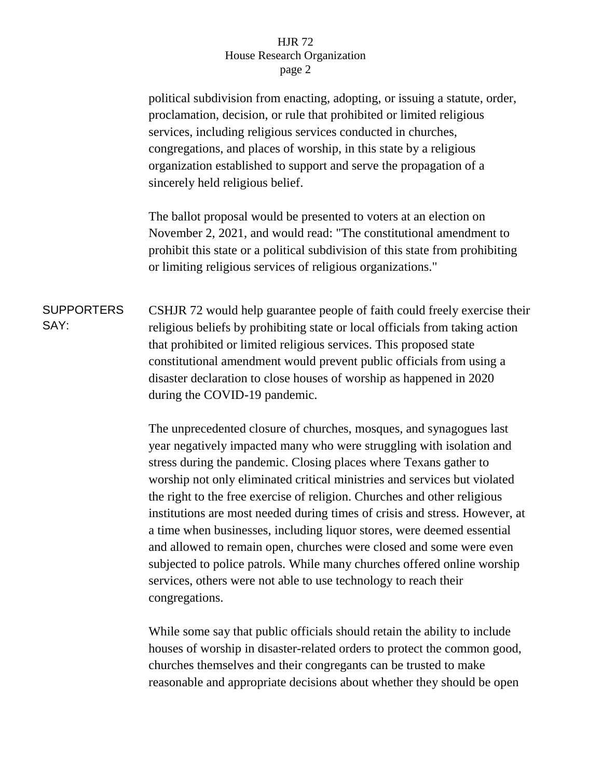## HJR 72 House Research Organization page 2

political subdivision from enacting, adopting, or issuing a statute, order, proclamation, decision, or rule that prohibited or limited religious services, including religious services conducted in churches, congregations, and places of worship, in this state by a religious organization established to support and serve the propagation of a sincerely held religious belief.

The ballot proposal would be presented to voters at an election on November 2, 2021, and would read: "The constitutional amendment to prohibit this state or a political subdivision of this state from prohibiting or limiting religious services of religious organizations."

**SUPPORTERS** SAY: CSHJR 72 would help guarantee people of faith could freely exercise their religious beliefs by prohibiting state or local officials from taking action that prohibited or limited religious services. This proposed state constitutional amendment would prevent public officials from using a disaster declaration to close houses of worship as happened in 2020 during the COVID-19 pandemic.

> The unprecedented closure of churches, mosques, and synagogues last year negatively impacted many who were struggling with isolation and stress during the pandemic. Closing places where Texans gather to worship not only eliminated critical ministries and services but violated the right to the free exercise of religion. Churches and other religious institutions are most needed during times of crisis and stress. However, at a time when businesses, including liquor stores, were deemed essential and allowed to remain open, churches were closed and some were even subjected to police patrols. While many churches offered online worship services, others were not able to use technology to reach their congregations.

While some say that public officials should retain the ability to include houses of worship in disaster-related orders to protect the common good, churches themselves and their congregants can be trusted to make reasonable and appropriate decisions about whether they should be open